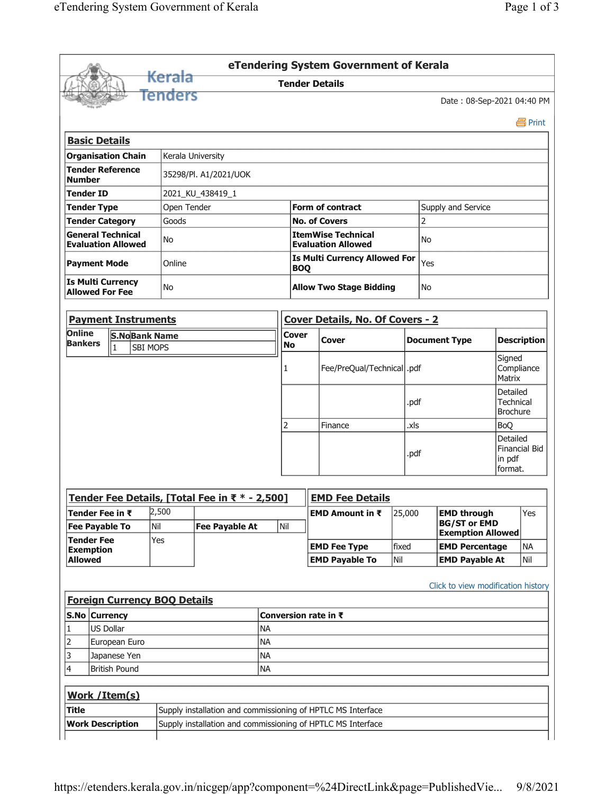|                                                                                             |                                                       |                   |                                                |                      | eTendering System Government of Kerala                      |                             |      |                                                                       |                                                 |                                |  |
|---------------------------------------------------------------------------------------------|-------------------------------------------------------|-------------------|------------------------------------------------|----------------------|-------------------------------------------------------------|-----------------------------|------|-----------------------------------------------------------------------|-------------------------------------------------|--------------------------------|--|
|                                                                                             |                                                       | <del>Kerala</del> |                                                |                      | <b>Tender Details</b>                                       |                             |      |                                                                       |                                                 |                                |  |
|                                                                                             |                                                       | Tenders           |                                                |                      |                                                             |                             |      | Date: 08-Sep-2021 04:40 PM                                            |                                                 |                                |  |
|                                                                                             |                                                       |                   |                                                |                      |                                                             |                             |      |                                                                       |                                                 | 昌 Print                        |  |
|                                                                                             | <b>Basic Details</b>                                  |                   |                                                |                      |                                                             |                             |      |                                                                       |                                                 |                                |  |
|                                                                                             | <b>Organisation Chain</b>                             |                   | Kerala University                              |                      |                                                             |                             |      |                                                                       |                                                 |                                |  |
| <b>Tender Reference</b><br>35298/Pl. A1/2021/UOK<br><b>Number</b>                           |                                                       |                   |                                                |                      |                                                             |                             |      |                                                                       |                                                 |                                |  |
| <b>Tender ID</b>                                                                            |                                                       |                   | 2021_KU_438419_1                               |                      |                                                             |                             |      |                                                                       |                                                 |                                |  |
| Open Tender<br><b>Tender Type</b>                                                           |                                                       |                   |                                                |                      | <b>Form of contract</b>                                     |                             |      |                                                                       |                                                 |                                |  |
| <b>Tender Category</b><br>Goods                                                             |                                                       |                   |                                                | <b>No. of Covers</b> |                                                             |                             | 2    |                                                                       |                                                 |                                |  |
|                                                                                             | <b>General Technical</b><br><b>Evaluation Allowed</b> | No                |                                                |                      | <b>ItemWise Technical</b><br><b>Evaluation Allowed</b>      | No                          |      |                                                                       |                                                 |                                |  |
|                                                                                             | <b>Payment Mode</b>                                   | Online            |                                                |                      | <b>Is Multi Currency Allowed For</b><br><b>BOQ</b>          | Yes                         |      |                                                                       |                                                 |                                |  |
|                                                                                             | <b>Is Multi Currency</b><br><b>Allowed For Fee</b>    | No                |                                                |                      | <b>Allow Two Stage Bidding</b>                              |                             |      |                                                                       |                                                 |                                |  |
|                                                                                             | <b>Payment Instruments</b>                            |                   |                                                |                      | Cover Details, No. Of Covers - 2                            |                             |      |                                                                       |                                                 |                                |  |
| Online<br><b>S.NoBank Name</b>                                                              |                                                       |                   | <b>Cover</b>                                   |                      |                                                             |                             |      |                                                                       |                                                 |                                |  |
| <b>Bankers</b>                                                                              | $\vert$ 1                                             | <b>SBI MOPS</b>   |                                                |                      | <b>Cover</b>                                                |                             |      | <b>Document Type</b>                                                  | <b>Description</b>                              |                                |  |
|                                                                                             |                                                       |                   |                                                | 1                    |                                                             | Fee/PreQual/Technical  .pdf |      |                                                                       |                                                 | Signed<br>Compliance<br>Matrix |  |
|                                                                                             |                                                       |                   |                                                |                      |                                                             |                             | .pdf |                                                                       | Detailed<br><b>Technical</b><br><b>Brochure</b> |                                |  |
|                                                                                             |                                                       |                   |                                                | 2                    | Finance                                                     | .xls                        |      |                                                                       |                                                 | <b>BoQ</b>                     |  |
|                                                                                             |                                                       |                   |                                                |                      |                                                             |                             |      | Detailed                                                              |                                                 |                                |  |
|                                                                                             |                                                       |                   |                                                |                      |                                                             |                             | .pdf |                                                                       | <b>Financial Bid</b><br>in pdf<br>format.       |                                |  |
|                                                                                             |                                                       |                   |                                                |                      |                                                             |                             |      |                                                                       |                                                 |                                |  |
|                                                                                             |                                                       |                   | Tender Fee Details, [Total Fee in ₹ * - 2,500] |                      | <b>EMD Fee Details</b>                                      |                             |      |                                                                       |                                                 |                                |  |
|                                                                                             | Tender Fee in ₹<br><b>Fee Payable To</b>              | 2,500<br>Nil      | <b>Fee Payable At</b>                          | Nil                  | EMD Amount in ₹                                             | 25,000                      |      | <b>EMD through</b><br><b>BG/ST or EMD</b><br><b>Exemption Allowed</b> |                                                 | Yes                            |  |
|                                                                                             |                                                       | Yes               |                                                |                      | <b>EMD Fee Type</b>                                         | fixed                       |      | <b>EMD Percentage</b>                                                 |                                                 | <b>NA</b>                      |  |
|                                                                                             |                                                       |                   |                                                |                      | <b>EMD Payable To</b>                                       | Nil                         |      | <b>EMD Payable At</b>                                                 |                                                 | Nil                            |  |
|                                                                                             | <b>Foreign Currency BOQ Details</b>                   |                   |                                                |                      |                                                             |                             |      | Click to view modification history                                    |                                                 |                                |  |
|                                                                                             | S.No Currency                                         |                   |                                                |                      | Conversion rate in ₹                                        |                             |      |                                                                       |                                                 |                                |  |
|                                                                                             | <b>US Dollar</b>                                      |                   |                                                | <b>NA</b>            |                                                             |                             |      |                                                                       |                                                 |                                |  |
|                                                                                             | European Euro                                         |                   |                                                | <b>NA</b>            |                                                             |                             |      |                                                                       |                                                 |                                |  |
|                                                                                             | Japanese Yen                                          |                   |                                                | <b>NA</b>            |                                                             |                             |      |                                                                       |                                                 |                                |  |
|                                                                                             | <b>British Pound</b>                                  |                   |                                                | <b>NA</b>            |                                                             |                             |      |                                                                       |                                                 |                                |  |
|                                                                                             | Work / Item(s)                                        |                   |                                                |                      |                                                             |                             |      |                                                                       |                                                 |                                |  |
| <b>Tender Fee</b><br><b>Exemption</b><br><b>Allowed</b><br>1<br>2<br>3<br>4<br><b>Title</b> |                                                       |                   |                                                |                      | Supply installation and commissioning of HPTLC MS Interface |                             |      |                                                                       |                                                 |                                |  |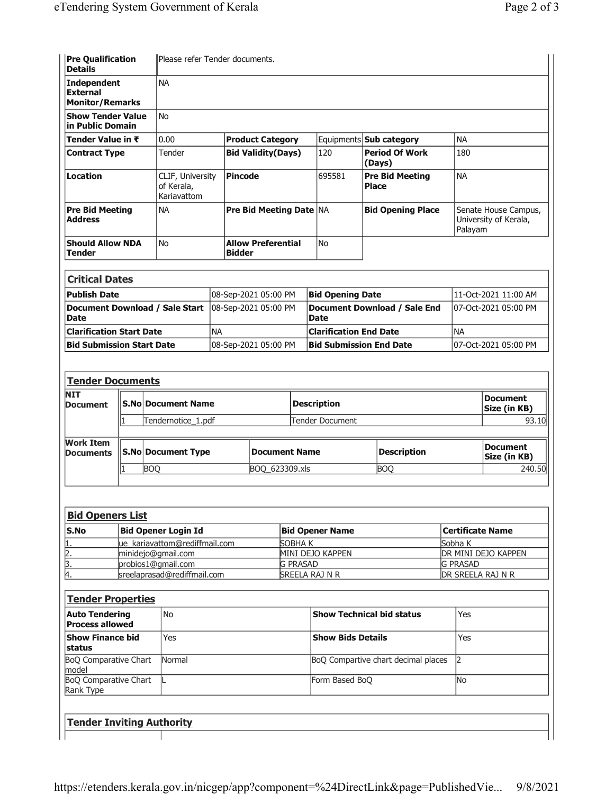| <b>Pre Qualification</b><br><b>Details</b>      |                              | Please refer Tender documents.                |                           |                                            |                                            |                                             |                                        |                    |                                                          |  |
|-------------------------------------------------|------------------------------|-----------------------------------------------|---------------------------|--------------------------------------------|--------------------------------------------|---------------------------------------------|----------------------------------------|--------------------|----------------------------------------------------------|--|
| <b>Independent</b><br><b>External</b>           |                              | <b>NA</b>                                     |                           |                                            |                                            |                                             |                                        |                    |                                                          |  |
| <b>Monitor/Remarks</b>                          |                              |                                               |                           |                                            |                                            |                                             |                                        |                    |                                                          |  |
| <b>Show Tender Value</b><br>in Public Domain    |                              | <b>No</b>                                     |                           |                                            |                                            |                                             |                                        |                    |                                                          |  |
| Tender Value in ₹                               |                              | 0.00                                          |                           | <b>Product Category</b>                    |                                            |                                             | Equipments <b>Sub category</b>         | <b>NA</b>          |                                                          |  |
| <b>Contract Type</b>                            |                              | Tender                                        | <b>Bid Validity(Days)</b> |                                            |                                            | 120                                         | <b>Period Of Work</b><br>(Days)        | 180                |                                                          |  |
| Location                                        |                              | CLIF, University<br>of Kerala,<br>Kariavattom |                           | <b>Pincode</b>                             |                                            | 695581                                      | <b>Pre Bid Meeting</b><br><b>Place</b> | <b>NA</b>          |                                                          |  |
| <b>Pre Bid Meeting</b><br>Address               |                              | <b>NA</b>                                     |                           | <b>Pre Bid Meeting Date NA</b>             |                                            |                                             | <b>Bid Opening Place</b>               |                    | Senate House Campus,<br>University of Kerala,<br>Palayam |  |
| <b>Should Allow NDA</b><br><b>Tender</b>        |                              | <b>No</b>                                     |                           | <b>Allow Preferential</b><br><b>Bidder</b> |                                            | No                                          |                                        |                    |                                                          |  |
| <b>Critical Dates</b>                           |                              |                                               |                           |                                            |                                            |                                             |                                        |                    |                                                          |  |
| <b>Publish Date</b>                             |                              |                                               | 08-Sep-2021 05:00 PM      |                                            |                                            | <b>Bid Opening Date</b>                     |                                        |                    | 11-Oct-2021 11:00 AM                                     |  |
| <b>Date</b>                                     |                              | Document Download / Sale Start                | 08-Sep-2021 05:00 PM      |                                            |                                            | Document Download / Sale End<br><b>Date</b> |                                        |                    | 07-Oct-2021 05:00 PM                                     |  |
| <b>Clarification Start Date</b>                 |                              |                                               | <b>NA</b>                 |                                            |                                            | <b>Clarification End Date</b>               |                                        | <b>NA</b>          |                                                          |  |
| <b>Bid Submission Start Date</b>                |                              |                                               | 08-Sep-2021 05:00 PM      |                                            |                                            |                                             | <b>Bid Submission End Date</b>         |                    | 07-Oct-2021 05:00 PM                                     |  |
|                                                 |                              |                                               |                           |                                            |                                            |                                             |                                        |                    |                                                          |  |
| <b>Tender Documents</b>                         |                              |                                               |                           |                                            |                                            |                                             |                                        |                    |                                                          |  |
| NIT<br>Document                                 |                              | <b>S.No Document Name</b>                     |                           |                                            | <b>Description</b>                         |                                             |                                        |                    | <b>Document</b><br>Size (in KB)                          |  |
|                                                 | 1                            |                                               | Tendernotice_1.pdf        |                                            |                                            | Tender Document                             |                                        |                    |                                                          |  |
| Work Item<br><b>Documents</b>                   |                              | <b>S.No Document Type</b>                     |                           |                                            | <b>Document Name</b><br><b>Description</b> |                                             |                                        |                    | <b>Document</b><br>Size (in KB)                          |  |
|                                                 | 1                            | <b>BOQ</b>                                    |                           |                                            | <b>BOQ</b><br>BOQ_623309.xls               |                                             |                                        |                    | 240.50                                                   |  |
|                                                 |                              |                                               |                           |                                            |                                            |                                             |                                        |                    |                                                          |  |
| <b>Bid Openers List</b>                         |                              |                                               |                           |                                            |                                            |                                             |                                        |                    |                                                          |  |
| S.No                                            | <b>Bid Opener Login Id</b>   |                                               |                           |                                            |                                            | <b>Bid Opener Name</b>                      |                                        |                    | <b>Certificate Name</b>                                  |  |
|                                                 |                              | ue kariavattom@rediffmail.com                 |                           |                                            | <b>SOBHAK</b><br>MINI DEJO KAPPEN          |                                             |                                        | Sobha <sub>K</sub> | DR MINI DEJO KAPPEN                                      |  |
| $\frac{2}{3}$ .<br>4.                           |                              | minidejo@gmail.com<br>probios1@gmail.com      |                           |                                            | <b>G PRASAD</b>                            |                                             |                                        | <b>G PRASAD</b>    |                                                          |  |
|                                                 |                              | sreelaprasad@rediffmail.com                   |                           |                                            | SREELA RAJ N R                             |                                             |                                        |                    | DR SREELA RAJ N R                                        |  |
| <b>Tender Properties</b>                        |                              |                                               |                           |                                            |                                            |                                             |                                        |                    |                                                          |  |
| <b>Auto Tendering</b><br><b>Process allowed</b> |                              | No                                            |                           |                                            |                                            |                                             | <b>Show Technical bid status</b>       | Yes                |                                                          |  |
| status                                          | <b>Show Finance bid</b>      |                                               | Yes                       |                                            |                                            |                                             | <b>Show Bids Details</b>               | Yes                |                                                          |  |
| model                                           | <b>BoQ Comparative Chart</b> |                                               |                           |                                            |                                            | BoQ Compartive chart decimal places         |                                        |                    | $\overline{2}$                                           |  |
| <b>BoQ Comparative Chart</b><br>Rank Type       |                              |                                               |                           |                                            |                                            | Form Based BoQ                              | No                                     |                    |                                                          |  |
|                                                 |                              |                                               |                           |                                            |                                            |                                             |                                        |                    |                                                          |  |
| <b>Tender Inviting Authority</b>                |                              |                                               |                           |                                            |                                            |                                             |                                        |                    |                                                          |  |
|                                                 |                              |                                               |                           |                                            |                                            |                                             |                                        |                    |                                                          |  |